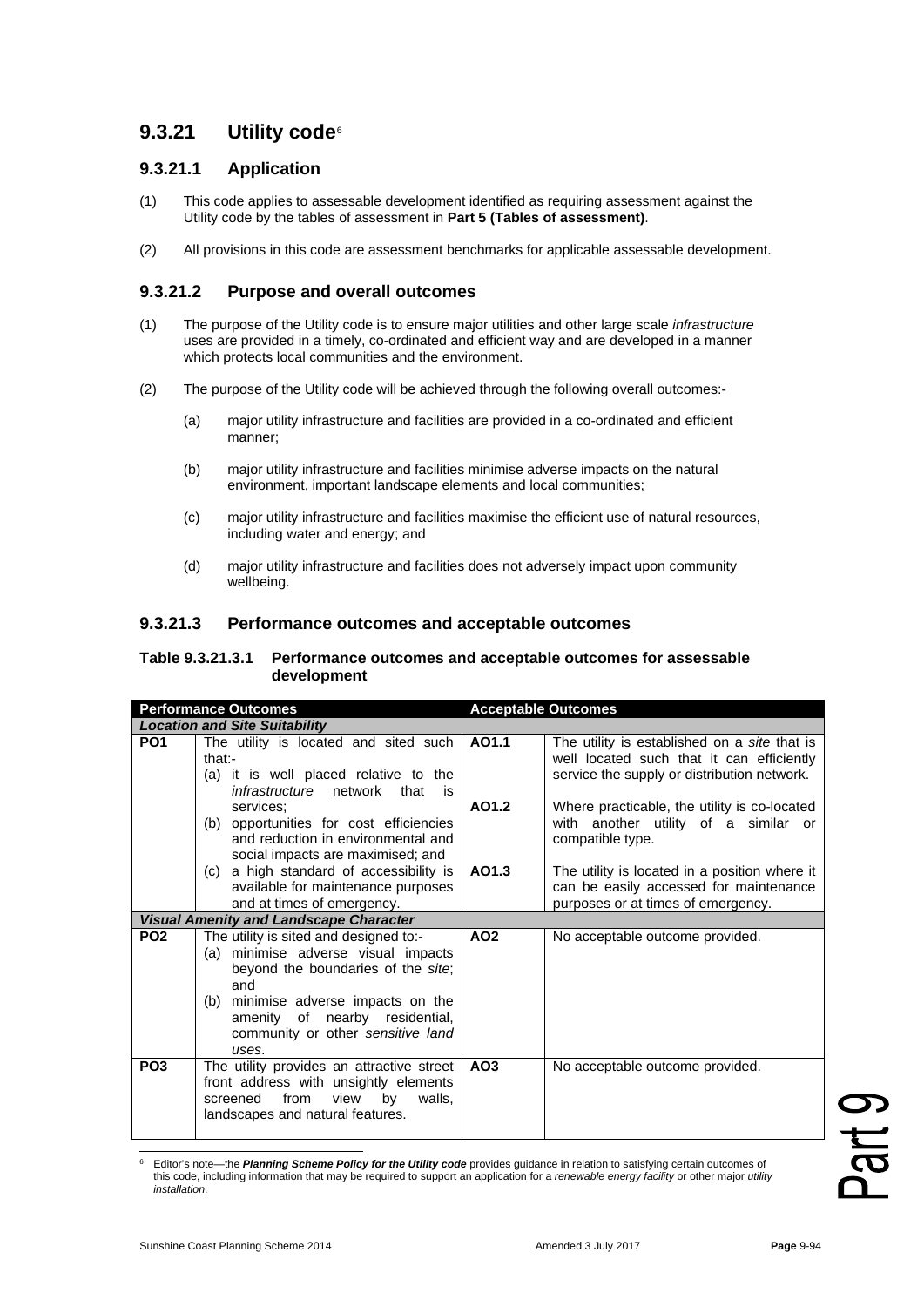# **9.3.21 Utility code**[6](#page-0-0)

## **9.3.21.1 Application**

- (1) This code applies to assessable development identified as requiring assessment against the Utility code by the tables of assessment in **Part 5 (Tables of assessment)**.
- (2) All provisions in this code are assessment benchmarks for applicable assessable development.

### **9.3.21.2 Purpose and overall outcomes**

- (1) The purpose of the Utility code is to ensure major utilities and other large scale *infrastructure* uses are provided in a timely, co-ordinated and efficient way and are developed in a manner which protects local communities and the environment.
- (2) The purpose of the Utility code will be achieved through the following overall outcomes:-
	- (a) major utility infrastructure and facilities are provided in a co-ordinated and efficient manner;
	- (b) major utility infrastructure and facilities minimise adverse impacts on the natural environment, important landscape elements and local communities;
	- (c) major utility infrastructure and facilities maximise the efficient use of natural resources, including water and energy; and
	- (d) major utility infrastructure and facilities does not adversely impact upon community wellbeing.

#### **9.3.21.3 Performance outcomes and acceptable outcomes**

#### **Table 9.3.21.3.1 Performance outcomes and acceptable outcomes for assessable development**

| <b>Performance Outcomes</b>                   |                                                                                                                                                                                                                                                   | <b>Acceptable Outcomes</b> |                                                                                                                                          |  |  |
|-----------------------------------------------|---------------------------------------------------------------------------------------------------------------------------------------------------------------------------------------------------------------------------------------------------|----------------------------|------------------------------------------------------------------------------------------------------------------------------------------|--|--|
| <b>Location and Site Suitability</b>          |                                                                                                                                                                                                                                                   |                            |                                                                                                                                          |  |  |
| PO <sub>1</sub>                               | The utility is located and sited such<br>$that -$<br>(a) it is well placed relative to the<br><i>infrastructure</i> network that<br>is                                                                                                            | AO1.1                      | The utility is established on a site that is<br>well located such that it can efficiently<br>service the supply or distribution network. |  |  |
|                                               | services;<br>(b) opportunities for cost efficiencies<br>and reduction in environmental and<br>social impacts are maximised; and                                                                                                                   | AO1.2                      | Where practicable, the utility is co-located<br>with another utility of a similar or<br>compatible type.                                 |  |  |
|                                               | (c) a high standard of accessibility is<br>available for maintenance purposes<br>and at times of emergency.                                                                                                                                       | AO1.3                      | The utility is located in a position where it<br>can be easily accessed for maintenance<br>purposes or at times of emergency.            |  |  |
| <b>Visual Amenity and Landscape Character</b> |                                                                                                                                                                                                                                                   |                            |                                                                                                                                          |  |  |
| PO <sub>2</sub>                               | The utility is sited and designed to:-<br>(a) minimise adverse visual impacts<br>beyond the boundaries of the site;<br>and<br>(b) minimise adverse impacts on the<br>amenity of nearby residential,<br>community or other sensitive land<br>uses. | AO <sub>2</sub>            | No acceptable outcome provided.                                                                                                          |  |  |
| PO <sub>3</sub>                               | The utility provides an attractive street<br>front address with unsightly elements<br>from<br>view<br>screened<br>by<br>walls,<br>landscapes and natural features.                                                                                | AO <sub>3</sub>            | No acceptable outcome provided.                                                                                                          |  |  |

<span id="page-0-0"></span><sup>6</sup> Editor's note—the *Planning Scheme Policy for the Utility code* provides guidance in relation to satisfying certain outcomes of this code, including information that may be required to support an application for a *renewable energy facility* or other major *utility installation*.